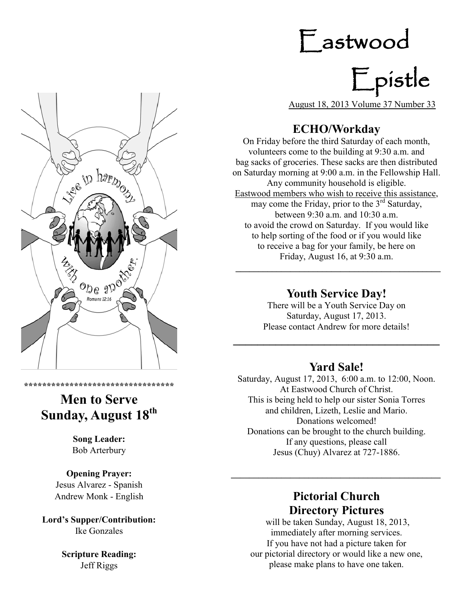## Eastwood

# Epistle

August 18, 2013 Volume 37 Number 33

## **ECHO/Workday**

On Friday before the third Saturday of each month, volunteers come to the building at 9:30 a.m. and bag sacks of groceries. These sacks are then distributed on Saturday morning at 9:00 a.m. in the Fellowship Hall. Any community household is eligible. Eastwood members who wish to receive this assistance, may come the Friday, prior to the 3<sup>rd</sup> Saturday, between 9:30 a.m. and 10:30 a.m. to avoid the crowd on Saturday. If you would like to help sorting of the food or if you would like to receive a bag for your family, be here on Friday, August 16, at 9:30 a.m.

## **Youth Service Day!**

**\_\_\_\_\_\_\_\_\_\_\_\_\_\_\_\_\_\_\_\_\_\_\_\_\_\_\_\_\_\_\_\_\_\_\_\_\_\_\_\_\_\_\_\_\_**

There will be a Youth Service Day on Saturday, August 17, 2013. Please contact Andrew for more details!

## **Yard Sale!**

**\_\_\_\_\_\_\_\_\_\_\_\_\_\_\_\_\_\_\_\_\_\_\_\_\_\_\_\_\_\_\_\_\_\_**

Saturday, August 17, 2013, 6:00 a.m. to 12:00, Noon. At Eastwood Church of Christ. This is being held to help our sister Sonia Torres and children, Lizeth, Leslie and Mario. Donations welcomed! Donations can be brought to the church building. If any questions, please call Jesus (Chuy) Alvarez at 727-1886.

## **Pictorial Church Directory Pictures**

**\_\_\_\_\_\_\_\_\_\_\_\_\_\_\_\_\_\_\_\_\_\_\_\_\_\_\_\_\_\_\_\_\_\_\_\_\_\_\_\_\_\_\_\_\_\_**

will be taken Sunday, August 18, 2013, immediately after morning services. If you have not had a picture taken for our pictorial directory or would like a new one, please make plans to have one taken.



## **Men to Serve Sunday, August 18th**

**\*\*\*\*\*\*\*\*\*\*\*\*\*\*\*\*\*\*\*\*\*\*\*\*\*\*\*\*\*\*\*\*\***

**Song Leader:**  Bob Arterbury

**Opening Prayer:** Jesus Alvarez - Spanish Andrew Monk - English

**Lord's Supper/Contribution:** Ike Gonzales

> **Scripture Reading:** Jeff Riggs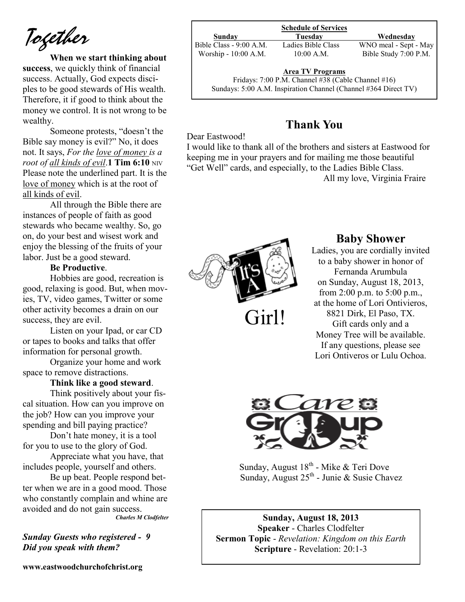*Together*

**When we start thinking about success**, we quickly think of financial success. Actually, God expects disciples to be good stewards of His wealth. Therefore, it if good to think about the money we control. It is not wrong to be wealthy.

Someone protests, "doesn't the Bible say money is evil?" No, it does not. It says, *For the love of money is a root of all kinds of evil.* **1 Tim 6:10** NIV Please note the underlined part. It is the love of money which is at the root of all kinds of evil.

All through the Bible there are instances of people of faith as good stewards who became wealthy. So, go on, do your best and wisest work and enjoy the blessing of the fruits of your labor. Just be a good steward.

#### **Be Productive**.

Hobbies are good, recreation is good, relaxing is good. But, when movies, TV, video games, Twitter or some other activity becomes a drain on our success, they are evil.

Listen on your Ipad, or car CD or tapes to books and talks that offer information for personal growth.

Organize your home and work space to remove distractions.

#### **Think like a good steward**.

Think positively about your fiscal situation. How can you improve on the job? How can you improve your spending and bill paying practice?

Don't hate money, it is a tool for you to use to the glory of God.

Appreciate what you have, that includes people, yourself and others.

Be up beat. People respond better when we are in a good mood. Those who constantly complain and whine are avoided and do not gain success.

*Charles M Clodfelter*

*Sunday Guests who registered - 9 Did you speak with them?*

**www.eastwoodchurchofchrist.org**

#### **Schedule of Services**

**Sunday Tuesday Wednesday**<br>Class - 9:00 A.M. Ladies Bible Class WNO meal - Sept -

Bible Class - 9:00 A.M. Ladies Bible Class WNO meal - Sept - May Worship - 10:00 A.M. 10:00 A.M. Bible Study 7:00 P.M.

#### **Area TV Programs**

Fridays: 7:00 P.M. Channel #38 (Cable Channel #16) Sundays: 5:00 A.M. Inspiration Channel (Channel #364 Direct TV)

### **Thank You**

#### Dear Eastwood!

I would like to thank all of the brothers and sisters at Eastwood for keeping me in your prayers and for mailing me those beautiful "Get Well" cards, and especially, to the Ladies Bible Class. All my love, Virginia Fraire

Girl!

#### **Baby Shower**

Ladies, you are cordially invited to a baby shower in honor of Fernanda Arumbula on Sunday, August 18, 2013, from 2:00 p.m. to 5:00 p.m., at the home of Lori Ontivieros, 8821 Dirk, El Paso, TX. Gift cards only and a Money Tree will be available. If any questions, please see Lori Ontiveros or Lulu Ochoa.



Sunday, August 18<sup>th</sup> - Mike & Teri Dove Sunday, August  $25<sup>th</sup>$  - Junie & Susie Chavez

**Sunday, August 18, 2013 Speaker** - Charles Clodfelter **Sermon Topic** - *Revelation: Kingdom on this Earth* **Scripture** - Revelation: 20:1-3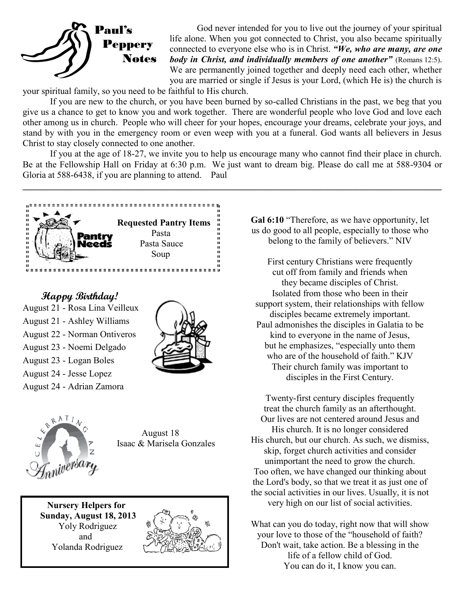

God never intended for you to live out the journey of your spiritual life alone. When you got connected to Christ, you also became spiritually connected to everyone else who is in Christ. *"We, who are many, are one body in Christ, and individually members of one another"* (Romans 12:5). We are permanently joined together and deeply need each other, whether you are married or single if Jesus is your Lord, (which He is) the church is

your spiritual family, so you need to be faithful to His church.

If you are new to the church, or you have been burned by so-called Christians in the past, we beg that you give us a chance to get to know you and work together. There are wonderful people who love God and love each other among us in church. People who will cheer for your hopes, encourage your dreams, celebrate your joys, and stand by with you in the emergency room or even weep with you at a funeral. God wants all believers in Jesus Christ to stay closely connected to one another.

If you at the age of 18-27, we invite you to help us encourage many who cannot find their place in church. Be at the Fellowship Hall on Friday at 6:30 p.m. We just want to dream big. Please do call me at 588-9304 or Gloria at 588-6438, if you are planning to attend. Paul

**\_\_\_\_\_\_\_\_\_\_\_\_\_\_\_\_\_\_\_\_\_\_\_\_\_\_\_\_\_\_\_\_\_\_\_\_\_\_\_\_\_\_\_\_\_\_\_\_\_\_\_\_\_\_\_\_\_\_\_\_\_\_\_\_\_\_\_\_\_\_\_\_\_\_\_\_\_\_\_\_\_\_\_\_\_\_\_\_\_\_\_\_**



 **Happy Birthday!** August 21 - Rosa Lina Veilleux August 21 - Ashley Williams August 22 - Norman Ontiveros August 23 - Noemi Delgado August 23 - Logan Boles August 24 - Jesse Lopez August 24 - Adrian Zamora





August 18 Isaac & Marisela Gonzales

 **Nursery Helpers for Sunday, August 18, 2013** Yoly Rodriguez and Yolanda Rodriguez



**Gal 6:10** "Therefore, as we have opportunity, let us do good to all people, especially to those who belong to the family of believers." NIV

First century Christians were frequently cut off from family and friends when they became disciples of Christ. Isolated from those who been in their support system, their relationships with fellow disciples became extremely important. Paul admonishes the disciples in Galatia to be kind to everyone in the name of Jesus, but he emphasizes, "especially unto them who are of the household of faith." KJV Their church family was important to disciples in the First Century.

Twenty-first century disciples frequently treat the church family as an afterthought. Our lives are not centered around Jesus and His church. It is no longer considered His church, but our church. As such, we dismiss, skip, forget church activities and consider unimportant the need to grow the church. Too often, we have changed our thinking about the Lord's body, so that we treat it as just one of the social activities in our lives. Usually, it is not very high on our list of social activities.

What can you do today, right now that will show your love to those of the "household of faith? Don't wait, take action. Be a blessing in the life of a fellow child of God. You can do it, I know you can.